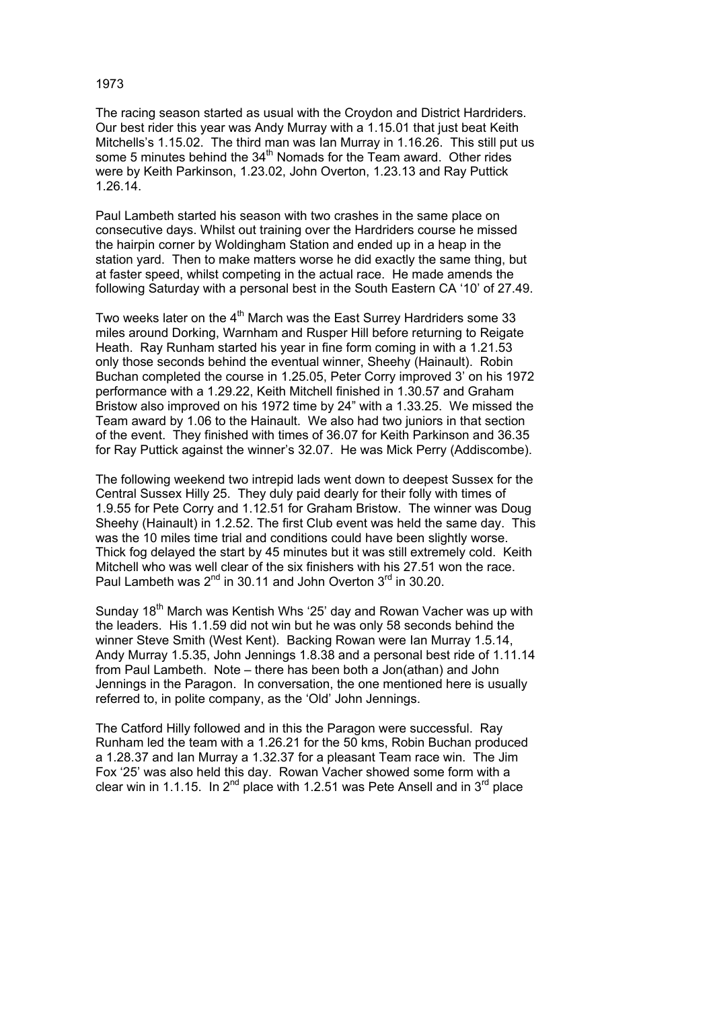## 1973

The racing season started as usual with the Croydon and District Hardriders. Our best rider this year was Andy Murray with a 1.15.01 that just beat Keith Mitchells's 1.15.02. The third man was Ian Murray in 1.16.26. This still put us some 5 minutes behind the 34<sup>th</sup> Nomads for the Team award. Other rides were by Keith Parkinson, 1.23.02, John Overton, 1.23.13 and Ray Puttick 1.26.14.

Paul Lambeth started his season with two crashes in the same place on consecutive days. Whilst out training over the Hardriders course he missed the hairpin corner by Woldingham Station and ended up in a heap in the station yard. Then to make matters worse he did exactly the same thing, but at faster speed, whilst competing in the actual race. He made amends the following Saturday with a personal best in the South Eastern CA '10' of 27.49.

Two weeks later on the  $4<sup>th</sup>$  March was the East Surrey Hardriders some 33 miles around Dorking, Warnham and Rusper Hill before returning to Reigate Heath. Ray Runham started his year in fine form coming in with a 1.21.53 only those seconds behind the eventual winner, Sheehy (Hainault). Robin Buchan completed the course in 1.25.05, Peter Corry improved 3' on his 1972 performance with a 1.29.22, Keith Mitchell finished in 1.30.57 and Graham Bristow also improved on his 1972 time by 24" with a 1.33.25. We missed the Team award by 1.06 to the Hainault. We also had two juniors in that section of the event. They finished with times of 36.07 for Keith Parkinson and 36.35 for Ray Puttick against the winner's 32.07. He was Mick Perry (Addiscombe).

The following weekend two intrepid lads went down to deepest Sussex for the Central Sussex Hilly 25. They duly paid dearly for their folly with times of 1.9.55 for Pete Corry and 1.12.51 for Graham Bristow. The winner was Doug Sheehy (Hainault) in 1.2.52. The first Club event was held the same day. This was the 10 miles time trial and conditions could have been slightly worse. Thick fog delayed the start by 45 minutes but it was still extremely cold. Keith Mitchell who was well clear of the six finishers with his 27.51 won the race. Paul Lambeth was  $2^{nd}$  in 30.11 and John Overton  $3^{rd}$  in 30.20.

Sunday 18<sup>th</sup> March was Kentish Whs '25' day and Rowan Vacher was up with the leaders. His 1.1.59 did not win but he was only 58 seconds behind the winner Steve Smith (West Kent). Backing Rowan were Ian Murray 1.5.14, Andy Murray 1.5.35, John Jennings 1.8.38 and a personal best ride of 1.11.14 from Paul Lambeth. Note – there has been both a Jon(athan) and John Jennings in the Paragon. In conversation, the one mentioned here is usually referred to, in polite company, as the 'Old' John Jennings.

The Catford Hilly followed and in this the Paragon were successful. Ray Runham led the team with a 1.26.21 for the 50 kms, Robin Buchan produced a 1.28.37 and Ian Murray a 1.32.37 for a pleasant Team race win. The Jim Fox '25' was also held this day. Rowan Vacher showed some form with a clear win in 1.1.15. In  $2^{nd}$  place with 1.2.51 was Pete Ansell and in  $3^{rd}$  place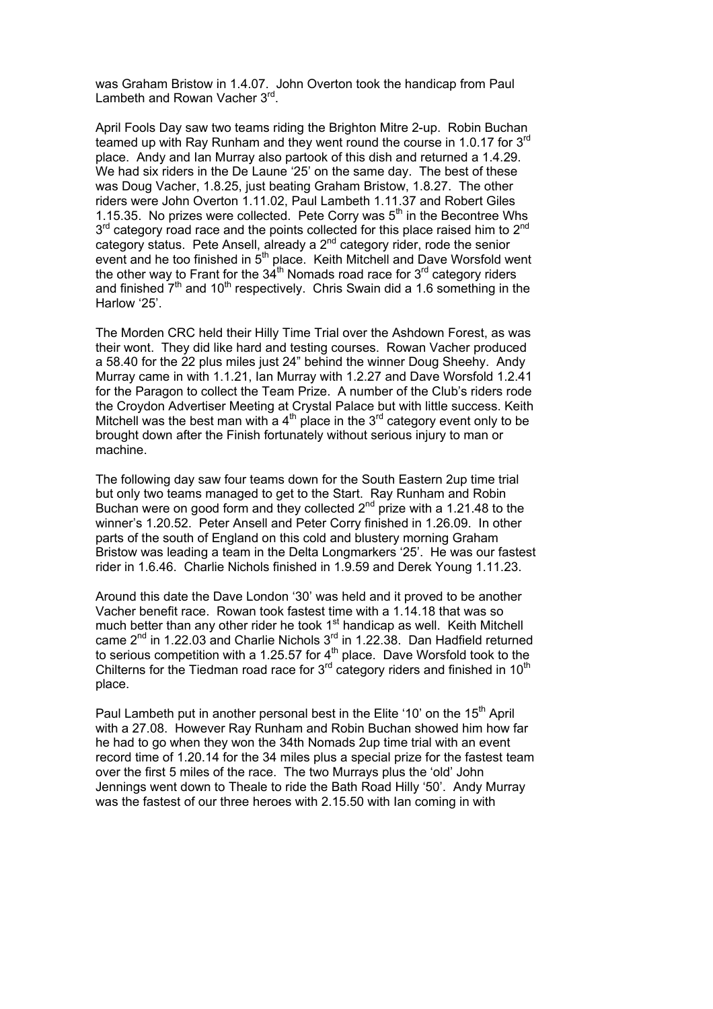was Graham Bristow in 1.4.07. John Overton took the handicap from Paul Lambeth and Rowan Vacher 3rd.

April Fools Day saw two teams riding the Brighton Mitre 2-up. Robin Buchan teamed up with Ray Runham and they went round the course in 1.0.17 for 3<sup>rd</sup> place. Andy and Ian Murray also partook of this dish and returned a 1.4.29. We had six riders in the De Laune '25' on the same day. The best of these was Doug Vacher, 1.8.25, just beating Graham Bristow, 1.8.27. The other riders were John Overton 1.11.02, Paul Lambeth 1.11.37 and Robert Giles 1.15.35. No prizes were collected. Pete Corry was  $5<sup>th</sup>$  in the Becontree Whs  $3<sup>rd</sup>$  category road race and the points collected for this place raised him to  $2<sup>nd</sup>$ category status. Pete Ansell, already a 2<sup>nd</sup> category rider, rode the senior event and he too finished in 5<sup>th</sup> place. Keith Mitchell and Dave Worsfold went the other way to Frant for the  $34<sup>th</sup>$  Nomads road race for  $3<sup>rd</sup>$  category riders and finished  $7<sup>th</sup>$  and 10<sup>th</sup> respectively. Chris Swain did a 1.6 something in the Harlow '25'.

The Morden CRC held their Hilly Time Trial over the Ashdown Forest, as was their wont. They did like hard and testing courses. Rowan Vacher produced a 58.40 for the 22 plus miles just 24" behind the winner Doug Sheehy. Andy Murray came in with 1.1.21, Ian Murray with 1.2.27 and Dave Worsfold 1.2.41 for the Paragon to collect the Team Prize. A number of the Club's riders rode the Croydon Advertiser Meeting at Crystal Palace but with little success. Keith Mitchell was the best man with a  $4<sup>th</sup>$  place in the 3<sup>rd</sup> category event only to be brought down after the Finish fortunately without serious injury to man or machine.

The following day saw four teams down for the South Eastern 2up time trial but only two teams managed to get to the Start. Ray Runham and Robin Buchan were on good form and they collected  $2<sup>nd</sup>$  prize with a 1.21.48 to the winner's 1.20.52. Peter Ansell and Peter Corry finished in 1.26.09. In other parts of the south of England on this cold and blustery morning Graham Bristow was leading a team in the Delta Longmarkers '25'. He was our fastest rider in 1.6.46. Charlie Nichols finished in 1.9.59 and Derek Young 1.11.23.

Around this date the Dave London '30' was held and it proved to be another Vacher benefit race. Rowan took fastest time with a 1.14.18 that was so much better than any other rider he took 1<sup>st</sup> handicap as well. Keith Mitchell came  $2^{nd}$  in 1.22.03 and Charlie Nichols  $3^{rd}$  in 1.22.38. Dan Hadfield returned to serious competition with a 1.25.57 for  $4<sup>th</sup>$  place. Dave Worsfold took to the Chilterns for the Tiedman road race for  $3<sup>rd</sup>$  category riders and finished in 10<sup>th</sup> place.

Paul Lambeth put in another personal best in the Elite '10' on the  $15<sup>th</sup>$  April with a 27.08. However Ray Runham and Robin Buchan showed him how far he had to go when they won the 34th Nomads 2up time trial with an event record time of 1.20.14 for the 34 miles plus a special prize for the fastest team over the first 5 miles of the race. The two Murrays plus the 'old' John Jennings went down to Theale to ride the Bath Road Hilly '50'. Andy Murray was the fastest of our three heroes with 2.15.50 with Ian coming in with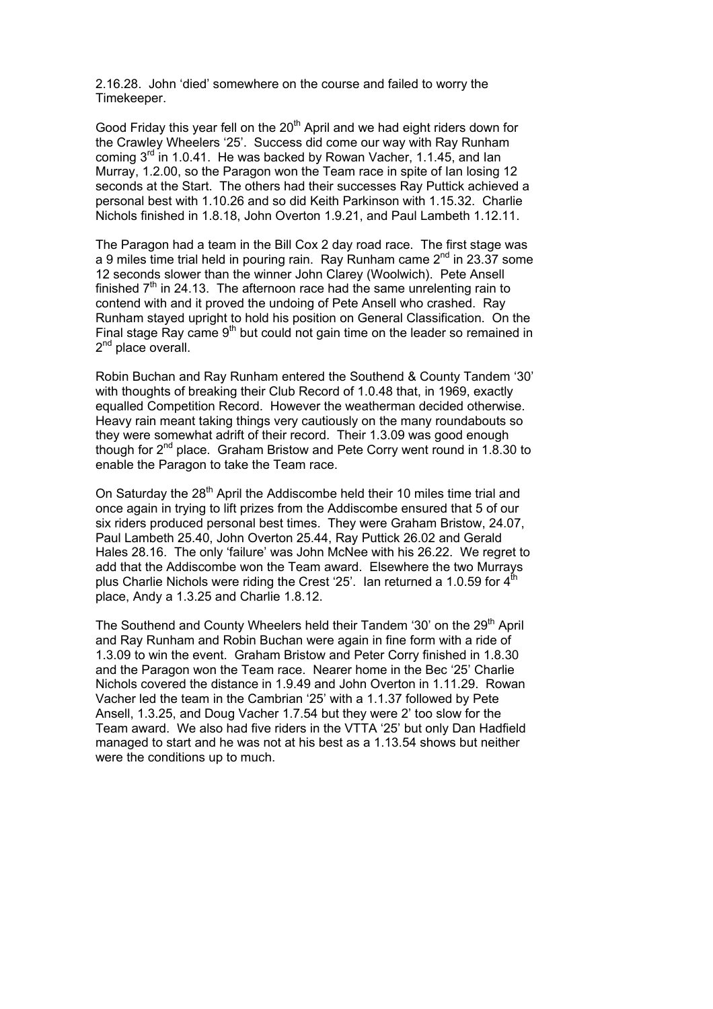2.16.28. John 'died' somewhere on the course and failed to worry the Timekeeper.

Good Friday this year fell on the  $20<sup>th</sup>$  April and we had eight riders down for the Crawley Wheelers '25'. Success did come our way with Ray Runham coming  $3^{rd}$  in 1.0.41. He was backed by Rowan Vacher, 1.1.45, and Ian Murray, 1.2.00, so the Paragon won the Team race in spite of Ian losing 12 seconds at the Start. The others had their successes Ray Puttick achieved a personal best with 1.10.26 and so did Keith Parkinson with 1.15.32. Charlie Nichols finished in 1.8.18, John Overton 1.9.21, and Paul Lambeth 1.12.11.

The Paragon had a team in the Bill Cox 2 day road race. The first stage was a 9 miles time trial held in pouring rain. Ray Runham came  $2^{nd}$  in 23.37 some 12 seconds slower than the winner John Clarey (Woolwich). Pete Ansell finished  $7<sup>th</sup>$  in 24.13. The afternoon race had the same unrelenting rain to contend with and it proved the undoing of Pete Ansell who crashed. Ray Runham stayed upright to hold his position on General Classification. On the Final stage Ray came  $9<sup>th</sup>$  but could not gain time on the leader so remained in 2<sup>nd</sup> place overall.

Robin Buchan and Ray Runham entered the Southend & County Tandem '30' with thoughts of breaking their Club Record of 1.0.48 that, in 1969, exactly equalled Competition Record. However the weatherman decided otherwise. Heavy rain meant taking things very cautiously on the many roundabouts so they were somewhat adrift of their record. Their 1.3.09 was good enough though for 2<sup>nd</sup> place. Graham Bristow and Pete Corry went round in 1.8.30 to enable the Paragon to take the Team race.

On Saturday the 28<sup>th</sup> April the Addiscombe held their 10 miles time trial and once again in trying to lift prizes from the Addiscombe ensured that 5 of our six riders produced personal best times. They were Graham Bristow, 24.07, Paul Lambeth 25.40, John Overton 25.44, Ray Puttick 26.02 and Gerald Hales 28.16. The only 'failure' was John McNee with his 26.22. We regret to add that the Addiscombe won the Team award. Elsewhere the two Murrays plus Charlie Nichols were riding the Crest  $25'$ . Ian returned a 1.0.59 for  $4<sup>th</sup>$ place, Andy a 1.3.25 and Charlie 1.8.12.

The Southend and County Wheelers held their Tandem '30' on the  $29<sup>th</sup>$  April and Ray Runham and Robin Buchan were again in fine form with a ride of 1.3.09 to win the event. Graham Bristow and Peter Corry finished in 1.8.30 and the Paragon won the Team race. Nearer home in the Bec '25' Charlie Nichols covered the distance in 1.9.49 and John Overton in 1.11.29. Rowan Vacher led the team in the Cambrian '25' with a 1.1.37 followed by Pete Ansell, 1.3.25, and Doug Vacher 1.7.54 but they were 2' too slow for the Team award. We also had five riders in the VTTA '25' but only Dan Hadfield managed to start and he was not at his best as a 1.13.54 shows but neither were the conditions up to much.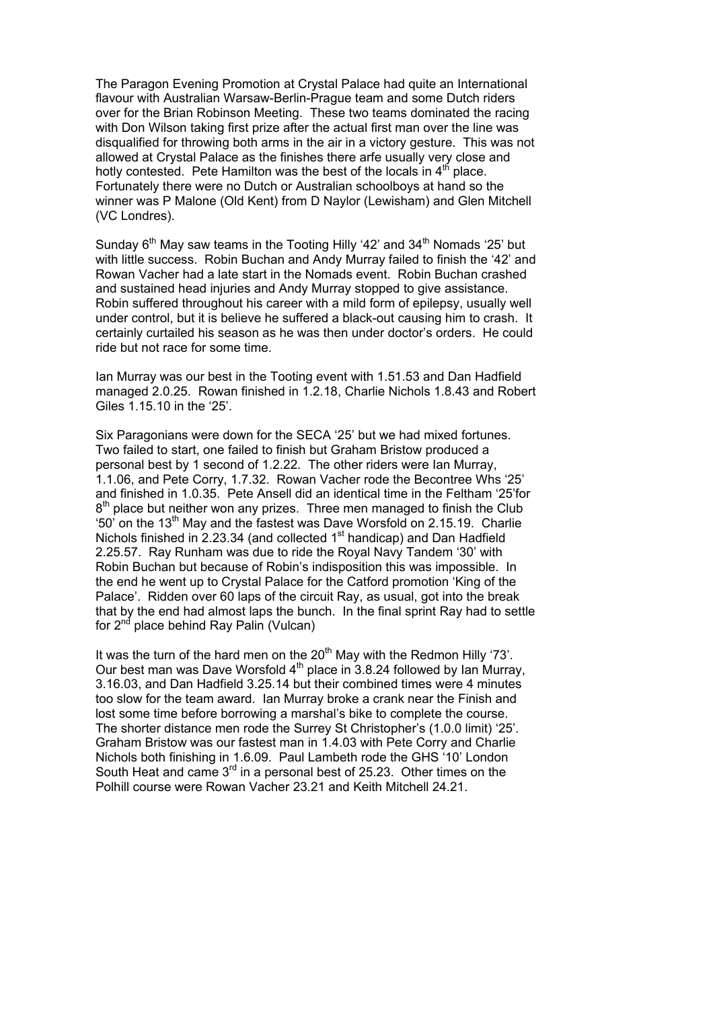The Paragon Evening Promotion at Crystal Palace had quite an International flavour with Australian Warsaw-Berlin-Prague team and some Dutch riders over for the Brian Robinson Meeting. These two teams dominated the racing with Don Wilson taking first prize after the actual first man over the line was disqualified for throwing both arms in the air in a victory gesture. This was not allowed at Crystal Palace as the finishes there arfe usually very close and hotly contested. Pete Hamilton was the best of the locals in  $4<sup>th</sup>$  place. Fortunately there were no Dutch or Australian schoolboys at hand so the winner was P Malone (Old Kent) from D Naylor (Lewisham) and Glen Mitchell (VC Londres).

Sunday  $6<sup>th</sup>$  May saw teams in the Tooting Hilly '42' and 34 $<sup>th</sup>$  Nomads '25' but</sup> with little success. Robin Buchan and Andy Murray failed to finish the '42' and Rowan Vacher had a late start in the Nomads event. Robin Buchan crashed and sustained head injuries and Andy Murray stopped to give assistance. Robin suffered throughout his career with a mild form of epilepsy, usually well under control, but it is believe he suffered a black-out causing him to crash. It certainly curtailed his season as he was then under doctor's orders. He could ride but not race for some time.

Ian Murray was our best in the Tooting event with 1.51.53 and Dan Hadfield managed 2.0.25. Rowan finished in 1.2.18, Charlie Nichols 1.8.43 and Robert Giles 1.15.10 in the '25'.

Six Paragonians were down for the SECA '25' but we had mixed fortunes. Two failed to start, one failed to finish but Graham Bristow produced a personal best by 1 second of 1.2.22. The other riders were Ian Murray, 1.1.06, and Pete Corry, 1.7.32. Rowan Vacher rode the Becontree Whs '25' and finished in 1.0.35. Pete Ansell did an identical time in the Feltham '25'for  $8<sup>th</sup>$  place but neither won any prizes. Three men managed to finish the Club '50' on the 13<sup>th</sup> May and the fastest was Dave Worsfold on 2.15.19. Charlie Nichols finished in  $2.23.34$  (and collected 1<sup>st</sup> handicap) and Dan Hadfield 2.25.57. Ray Runham was due to ride the Royal Navy Tandem '30' with Robin Buchan but because of Robin's indisposition this was impossible. In the end he went up to Crystal Palace for the Catford promotion 'King of the Palace'. Ridden over 60 laps of the circuit Ray, as usual, got into the break that by the end had almost laps the bunch. In the final sprint Ray had to settle for  $2<sup>nd</sup>$  place behind Ray Palin (Vulcan)

It was the turn of the hard men on the  $20<sup>th</sup>$  May with the Redmon Hilly '73'. Our best man was Dave Worsfold  $4<sup>th</sup>$  place in 3.8.24 followed by Ian Murray, 3.16.03, and Dan Hadfield 3.25.14 but their combined times were 4 minutes too slow for the team award. Ian Murray broke a crank near the Finish and lost some time before borrowing a marshal's bike to complete the course. The shorter distance men rode the Surrey St Christopher's (1.0.0 limit) '25'. Graham Bristow was our fastest man in 1.4.03 with Pete Corry and Charlie Nichols both finishing in 1.6.09. Paul Lambeth rode the GHS '10' London South Heat and came  $3^{rd}$  in a personal best of 25.23. Other times on the Polhill course were Rowan Vacher 23.21 and Keith Mitchell 24.21.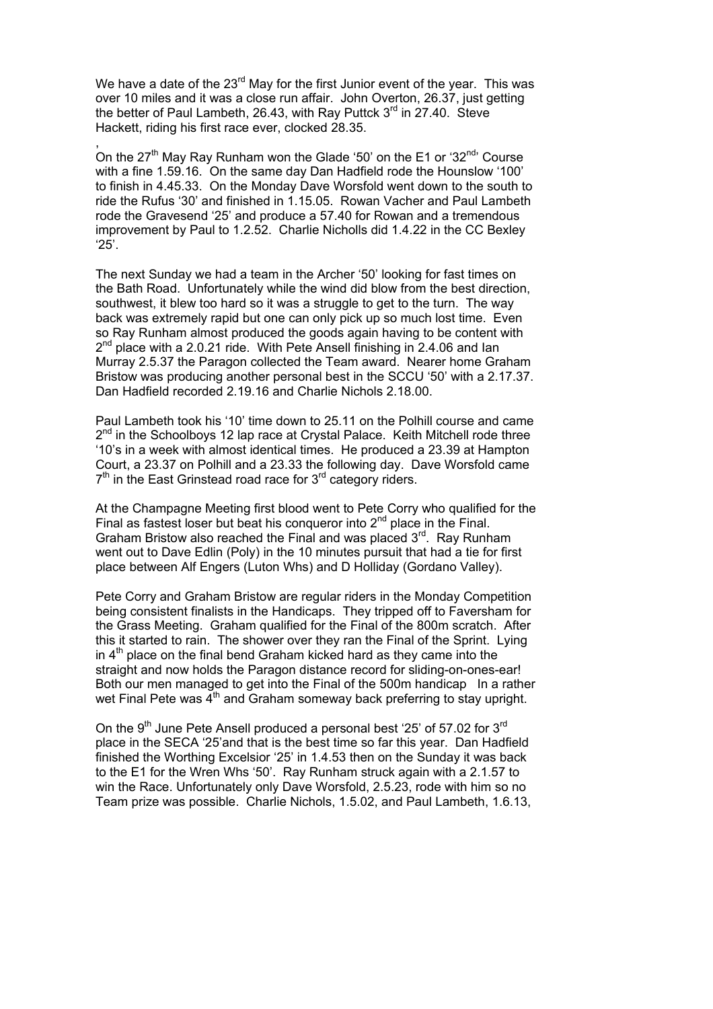We have a date of the  $23<sup>rd</sup>$  May for the first Junior event of the year. This was over 10 miles and it was a close run affair. John Overton, 26.37, just getting the better of Paul Lambeth, 26.43, with Ray Puttck 3<sup>rd</sup> in 27.40. Steve Hackett, riding his first race ever, clocked 28.35.

, On the  $27<sup>th</sup>$  May Ray Runham won the Glade '50' on the E1 or '32 $<sup>nd</sup>$ ' Course</sup> with a fine 1.59.16. On the same day Dan Hadfield rode the Hounslow '100' to finish in 4.45.33. On the Monday Dave Worsfold went down to the south to ride the Rufus '30' and finished in 1.15.05. Rowan Vacher and Paul Lambeth rode the Gravesend '25' and produce a 57.40 for Rowan and a tremendous improvement by Paul to 1.2.52. Charlie Nicholls did 1.4.22 in the CC Bexley '25'.

The next Sunday we had a team in the Archer '50' looking for fast times on the Bath Road. Unfortunately while the wind did blow from the best direction, southwest, it blew too hard so it was a struggle to get to the turn. The way back was extremely rapid but one can only pick up so much lost time. Even so Ray Runham almost produced the goods again having to be content with  $2<sup>nd</sup>$  place with a 2.0.21 ride. With Pete Ansell finishing in 2.4.06 and Ian Murray 2.5.37 the Paragon collected the Team award. Nearer home Graham Bristow was producing another personal best in the SCCU '50' with a 2.17.37. Dan Hadfield recorded 2.19.16 and Charlie Nichols 2.18.00.

Paul Lambeth took his '10' time down to 25.11 on the Polhill course and came  $2^{nd}$  in the Schoolboys 12 lap race at Crystal Palace. Keith Mitchell rode three '10's in a week with almost identical times. He produced a 23.39 at Hampton Court, a 23.37 on Polhill and a 23.33 the following day. Dave Worsfold came  $7<sup>th</sup>$  in the East Grinstead road race for  $3<sup>rd</sup>$  category riders.

At the Champagne Meeting first blood went to Pete Corry who qualified for the Final as fastest loser but beat his conqueror into  $2<sup>nd</sup>$  place in the Final. Graham Bristow also reached the Final and was placed 3<sup>rd</sup>. Ray Runham went out to Dave Edlin (Poly) in the 10 minutes pursuit that had a tie for first place between Alf Engers (Luton Whs) and D Holliday (Gordano Valley).

Pete Corry and Graham Bristow are regular riders in the Monday Competition being consistent finalists in the Handicaps. They tripped off to Faversham for the Grass Meeting. Graham qualified for the Final of the 800m scratch. After this it started to rain. The shower over they ran the Final of the Sprint. Lying in  $4<sup>th</sup>$  place on the final bend Graham kicked hard as they came into the straight and now holds the Paragon distance record for sliding-on-ones-ear! Both our men managed to get into the Final of the 500m handicap In a rather wet Final Pete was  $4<sup>th</sup>$  and Graham someway back preferring to stay upright.

On the  $9<sup>th</sup>$  June Pete Ansell produced a personal best '25' of 57.02 for  $3<sup>rd</sup>$ place in the SECA '25'and that is the best time so far this year. Dan Hadfield finished the Worthing Excelsior '25' in 1.4.53 then on the Sunday it was back to the E1 for the Wren Whs '50'. Ray Runham struck again with a 2.1.57 to win the Race. Unfortunately only Dave Worsfold, 2.5.23, rode with him so no Team prize was possible. Charlie Nichols, 1.5.02, and Paul Lambeth, 1.6.13,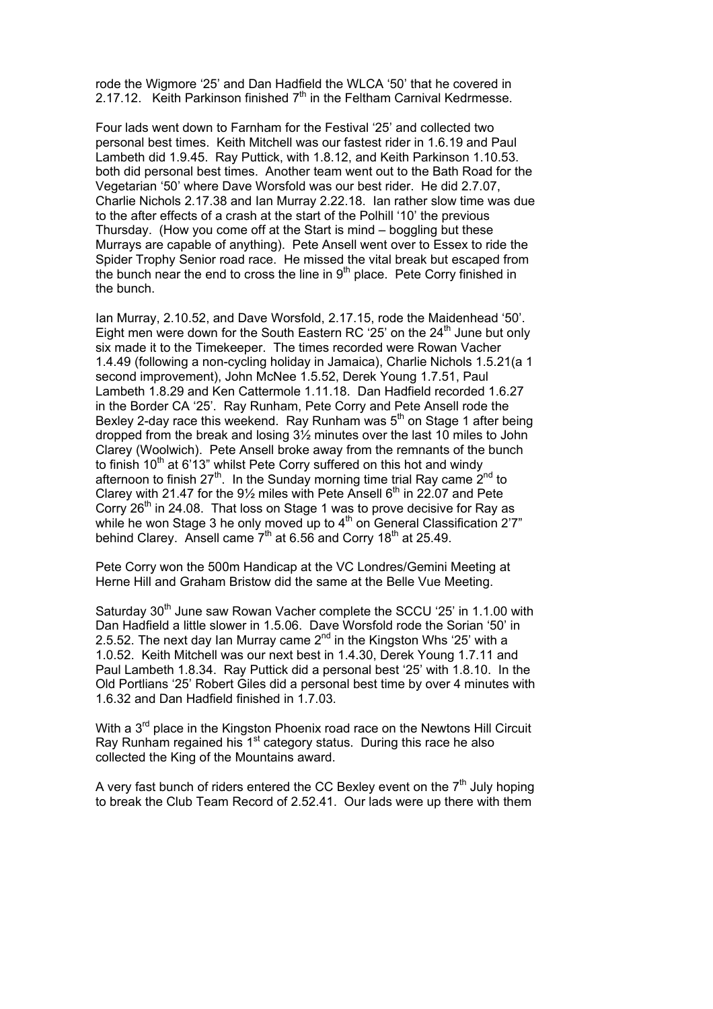rode the Wigmore '25' and Dan Hadfield the WLCA '50' that he covered in 2.17.12. Keith Parkinson finished  $7<sup>th</sup>$  in the Feltham Carnival Kedrmesse.

Four lads went down to Farnham for the Festival '25' and collected two personal best times. Keith Mitchell was our fastest rider in 1.6.19 and Paul Lambeth did 1.9.45. Ray Puttick, with 1.8.12, and Keith Parkinson 1.10.53. both did personal best times. Another team went out to the Bath Road for the Vegetarian '50' where Dave Worsfold was our best rider. He did 2.7.07, Charlie Nichols 2.17.38 and Ian Murray 2.22.18. Ian rather slow time was due to the after effects of a crash at the start of the Polhill '10' the previous Thursday. (How you come off at the Start is mind – boggling but these Murrays are capable of anything). Pete Ansell went over to Essex to ride the Spider Trophy Senior road race. He missed the vital break but escaped from the bunch near the end to cross the line in  $9<sup>th</sup>$  place. Pete Corry finished in the bunch.

Ian Murray, 2.10.52, and Dave Worsfold, 2.17.15, rode the Maidenhead '50'. Eight men were down for the South Eastern RC '25' on the  $24<sup>th</sup>$  June but only six made it to the Timekeeper. The times recorded were Rowan Vacher 1.4.49 (following a non-cycling holiday in Jamaica), Charlie Nichols 1.5.21(a 1 second improvement), John McNee 1.5.52, Derek Young 1.7.51, Paul Lambeth 1.8.29 and Ken Cattermole 1.11.18. Dan Hadfield recorded 1.6.27 in the Border CA '25'. Ray Runham, Pete Corry and Pete Ansell rode the Bexley 2-day race this weekend. Ray Runham was  $5<sup>th</sup>$  on Stage 1 after being dropped from the break and losing 3½ minutes over the last 10 miles to John Clarey (Woolwich). Pete Ansell broke away from the remnants of the bunch to finish 10<sup>th</sup> at 6'13" whilst Pete Corry suffered on this hot and windy afternoon to finish  $27^{\text{th}}$ . In the Sunday morning time trial Ray came  $2^{\text{nd}}$  to Clarey with 21.47 for the  $9\frac{1}{2}$  miles with Pete Ansell 6<sup>th</sup> in 22.07 and Pete Corry 26<sup>th</sup> in 24.08. That loss on Stage 1 was to prove decisive for Ray as while he won Stage 3 he only moved up to  $4<sup>th</sup>$  on General Classification 2'7" behind Clarey. Ansell came  $7<sup>th</sup>$  at 6.56 and Corry 18<sup>th</sup> at 25.49.

Pete Corry won the 500m Handicap at the VC Londres/Gemini Meeting at Herne Hill and Graham Bristow did the same at the Belle Vue Meeting.

Saturday 30<sup>th</sup> June saw Rowan Vacher complete the SCCU '25' in 1.1.00 with Dan Hadfield a little slower in 1.5.06. Dave Worsfold rode the Sorian '50' in 2.5.52. The next day Ian Murray came  $2^{nd}$  in the Kingston Whs '25' with a 1.0.52. Keith Mitchell was our next best in 1.4.30, Derek Young 1.7.11 and Paul Lambeth 1.8.34. Ray Puttick did a personal best '25' with 1.8.10. In the Old Portlians '25' Robert Giles did a personal best time by over 4 minutes with 1.6.32 and Dan Hadfield finished in 1.7.03.

With a 3<sup>rd</sup> place in the Kingston Phoenix road race on the Newtons Hill Circuit Ray Runham regained his 1<sup>st</sup> category status. During this race he also collected the King of the Mountains award.

A very fast bunch of riders entered the CC Bexley event on the  $7<sup>th</sup>$  July hoping to break the Club Team Record of 2.52.41. Our lads were up there with them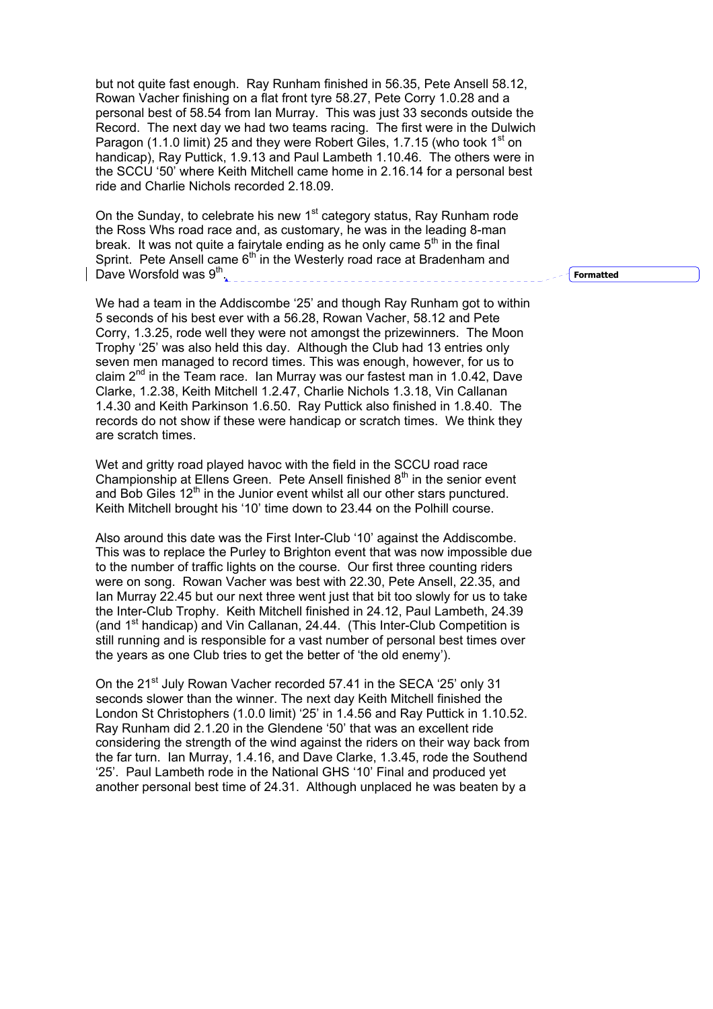but not quite fast enough. Ray Runham finished in 56.35, Pete Ansell 58.12, Rowan Vacher finishing on a flat front tyre 58.27, Pete Corry 1.0.28 and a personal best of 58.54 from Ian Murray. This was just 33 seconds outside the Record. The next day we had two teams racing. The first were in the Dulwich Paragon (1.1.0 limit) 25 and they were Robert Giles, 1.7.15 (who took 1<sup>st</sup> on handicap), Ray Puttick, 1.9.13 and Paul Lambeth 1.10.46. The others were in the SCCU '50' where Keith Mitchell came home in 2.16.14 for a personal best ride and Charlie Nichols recorded 2.18.09.

On the Sunday, to celebrate his new  $1<sup>st</sup>$  category status, Ray Runham rode the Ross Whs road race and, as customary, he was in the leading 8-man break. It was not quite a fairytale ending as he only came  $5<sup>th</sup>$  in the final Sprint. Pete Ansell came  $6<sup>th</sup>$  in the Westerly road race at Bradenham and Dave Worsfold was  $9<sup>th</sup>$ .

We had a team in the Addiscombe '25' and though Ray Runham got to within 5 seconds of his best ever with a 56.28, Rowan Vacher, 58.12 and Pete Corry, 1.3.25, rode well they were not amongst the prizewinners. The Moon Trophy '25' was also held this day. Although the Club had 13 entries only seven men managed to record times. This was enough, however, for us to claim  $2^{nd}$  in the Team race. Ian Murray was our fastest man in 1.0.42, Dave Clarke, 1.2.38, Keith Mitchell 1.2.47, Charlie Nichols 1.3.18, Vin Callanan 1.4.30 and Keith Parkinson 1.6.50. Ray Puttick also finished in 1.8.40. The records do not show if these were handicap or scratch times. We think they are scratch times.

Wet and gritty road played havoc with the field in the SCCU road race Championship at Ellens Green. Pete Ansell finished  $8<sup>th</sup>$  in the senior event and Bob Giles  $12<sup>th</sup>$  in the Junior event whilst all our other stars punctured. Keith Mitchell brought his '10' time down to 23.44 on the Polhill course.

Also around this date was the First Inter-Club '10' against the Addiscombe. This was to replace the Purley to Brighton event that was now impossible due to the number of traffic lights on the course. Our first three counting riders were on song. Rowan Vacher was best with 22.30, Pete Ansell, 22.35, and Ian Murray 22.45 but our next three went just that bit too slowly for us to take the Inter-Club Trophy. Keith Mitchell finished in 24.12, Paul Lambeth, 24.39 (and 1<sup>st</sup> handicap) and Vin Callanan, 24.44. (This Inter-Club Competition is still running and is responsible for a vast number of personal best times over the years as one Club tries to get the better of 'the old enemy').

On the 21<sup>st</sup> July Rowan Vacher recorded 57.41 in the SECA '25' only 31 seconds slower than the winner. The next day Keith Mitchell finished the London St Christophers (1.0.0 limit) '25' in 1.4.56 and Ray Puttick in 1.10.52. Ray Runham did 2.1.20 in the Glendene '50' that was an excellent ride considering the strength of the wind against the riders on their way back from the far turn. Ian Murray, 1.4.16, and Dave Clarke, 1.3.45, rode the Southend '25'. Paul Lambeth rode in the National GHS '10' Final and produced yet another personal best time of 24.31. Although unplaced he was beaten by a

**Formatted**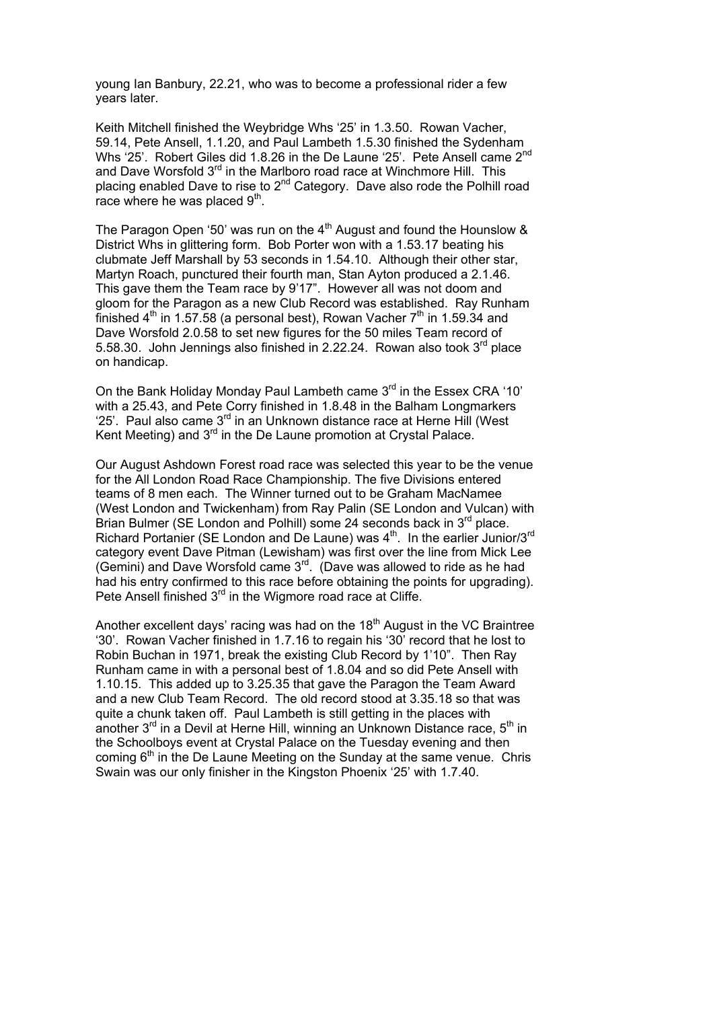young Ian Banbury, 22.21, who was to become a professional rider a few years later.

Keith Mitchell finished the Weybridge Whs '25' in 1.3.50. Rowan Vacher, 59.14, Pete Ansell, 1.1.20, and Paul Lambeth 1.5.30 finished the Sydenham Whs '25'. Robert Giles did 1.8.26 in the De Laune '25'. Pete Ansell came 2<sup>nd</sup> and Dave Worsfold 3<sup>rd</sup> in the Marlboro road race at Winchmore Hill. This placing enabled Dave to rise to  $2<sup>nd</sup>$  Category. Dave also rode the Polhill road race where he was placed  $9<sup>th</sup>$ .

The Paragon Open '50' was run on the  $4<sup>th</sup>$  August and found the Hounslow & District Whs in glittering form. Bob Porter won with a 1.53.17 beating his clubmate Jeff Marshall by 53 seconds in 1.54.10. Although their other star, Martyn Roach, punctured their fourth man, Stan Ayton produced a 2.1.46. This gave them the Team race by 9'17". However all was not doom and gloom for the Paragon as a new Club Record was established. Ray Runham finished  $4^{\text{th}}$  in 1.57.58 (a personal best), Rowan Vacher  $7^{\text{th}}$  in 1.59.34 and Dave Worsfold 2.0.58 to set new figures for the 50 miles Team record of 5.58.30. John Jennings also finished in 2.22.24. Rowan also took 3<sup>rd</sup> place on handicap.

On the Bank Holiday Monday Paul Lambeth came 3<sup>rd</sup> in the Essex CRA '10' with a 25.43, and Pete Corry finished in 1.8.48 in the Balham Longmarkers  $25'$ . Paul also came  $3<sup>rd</sup>$  in an Unknown distance race at Herne Hill (West Kent Meeting) and  $3<sup>rd</sup>$  in the De Laune promotion at Crystal Palace.

Our August Ashdown Forest road race was selected this year to be the venue for the All London Road Race Championship. The five Divisions entered teams of 8 men each. The Winner turned out to be Graham MacNamee (West London and Twickenham) from Ray Palin (SE London and Vulcan) with Brian Bulmer (SE London and Polhill) some 24 seconds back in 3<sup>rd</sup> place. Richard Portanier (SE London and De Laune) was 4<sup>th</sup>. In the earlier Junior/3<sup>rd</sup> category event Dave Pitman (Lewisham) was first over the line from Mick Lee (Gemini) and Dave Worsfold came 3<sup>rd</sup>. (Dave was allowed to ride as he had had his entry confirmed to this race before obtaining the points for upgrading). Pete Ansell finished 3<sup>rd</sup> in the Wigmore road race at Cliffe.

Another excellent days' racing was had on the  $18<sup>th</sup>$  August in the VC Braintree '30'. Rowan Vacher finished in 1.7.16 to regain his '30' record that he lost to Robin Buchan in 1971, break the existing Club Record by 1'10". Then Ray Runham came in with a personal best of 1.8.04 and so did Pete Ansell with 1.10.15. This added up to 3.25.35 that gave the Paragon the Team Award and a new Club Team Record. The old record stood at 3.35.18 so that was quite a chunk taken off. Paul Lambeth is still getting in the places with another  $3^{rd}$  in a Devil at Herne Hill, winning an Unknown Distance race,  $5^{th}$  in the Schoolboys event at Crystal Palace on the Tuesday evening and then coming  $6<sup>th</sup>$  in the De Laune Meeting on the Sunday at the same venue. Chris Swain was our only finisher in the Kingston Phoenix '25' with 1.7.40.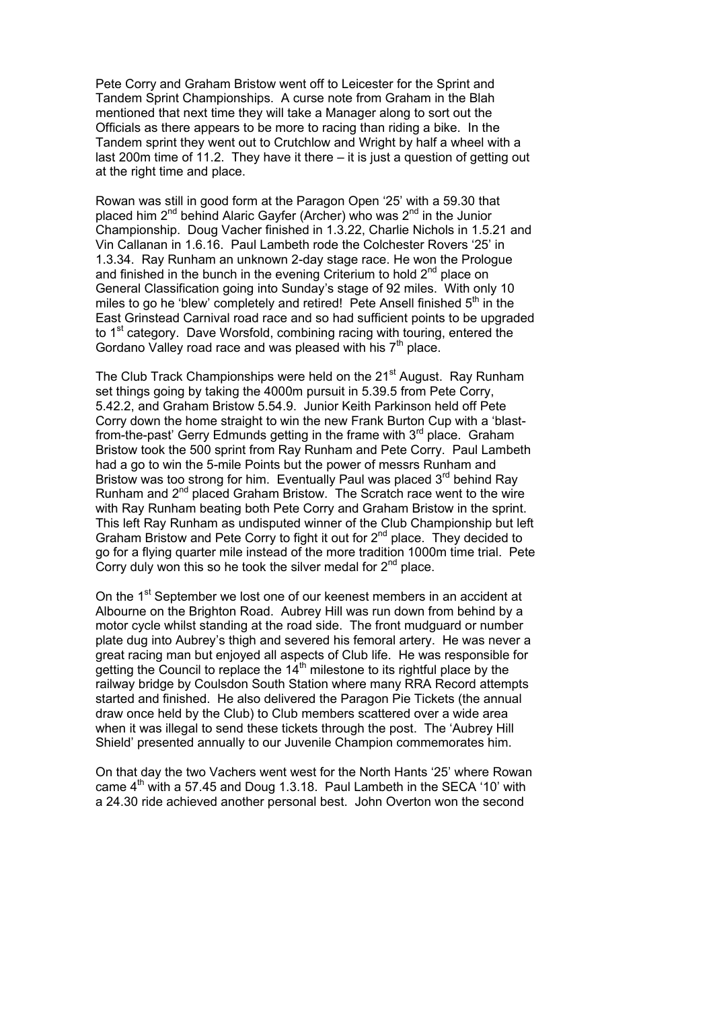Pete Corry and Graham Bristow went off to Leicester for the Sprint and Tandem Sprint Championships. A curse note from Graham in the Blah mentioned that next time they will take a Manager along to sort out the Officials as there appears to be more to racing than riding a bike. In the Tandem sprint they went out to Crutchlow and Wright by half a wheel with a last 200m time of 11.2. They have it there – it is just a question of getting out at the right time and place.

Rowan was still in good form at the Paragon Open '25' with a 59.30 that placed him 2<sup>nd</sup> behind Alaric Gayfer (Archer) who was 2<sup>nd</sup> in the Junior Championship. Doug Vacher finished in 1.3.22, Charlie Nichols in 1.5.21 and Vin Callanan in 1.6.16. Paul Lambeth rode the Colchester Rovers '25' in 1.3.34. Ray Runham an unknown 2-day stage race. He won the Prologue and finished in the bunch in the evening Criterium to hold  $2^{nd}$  place on General Classification going into Sunday's stage of 92 miles. With only 10 miles to go he 'blew' completely and retired! Pete Ansell finished 5<sup>th</sup> in the East Grinstead Carnival road race and so had sufficient points to be upgraded to  $1<sup>st</sup>$  category. Dave Worsfold, combining racing with touring, entered the Gordano Valley road race and was pleased with his  $7<sup>th</sup>$  place.

The Club Track Championships were held on the 21<sup>st</sup> August. Ray Runham set things going by taking the 4000m pursuit in 5.39.5 from Pete Corry, 5.42.2, and Graham Bristow 5.54.9. Junior Keith Parkinson held off Pete Corry down the home straight to win the new Frank Burton Cup with a 'blastfrom-the-past' Gerry Edmunds getting in the frame with  $3<sup>rd</sup>$  place. Graham Bristow took the 500 sprint from Ray Runham and Pete Corry. Paul Lambeth had a go to win the 5-mile Points but the power of messrs Runham and Bristow was too strong for him. Eventually Paul was placed  $3<sup>rd</sup>$  behind Ray Runham and 2<sup>nd</sup> placed Graham Bristow. The Scratch race went to the wire with Ray Runham beating both Pete Corry and Graham Bristow in the sprint. This left Ray Runham as undisputed winner of the Club Championship but left Graham Bristow and Pete Corry to fight it out for 2<sup>nd</sup> place. They decided to go for a flying quarter mile instead of the more tradition 1000m time trial. Pete Corry duly won this so he took the silver medal for  $2<sup>nd</sup>$  place.

On the 1<sup>st</sup> September we lost one of our keenest members in an accident at Albourne on the Brighton Road. Aubrey Hill was run down from behind by a motor cycle whilst standing at the road side. The front mudguard or number plate dug into Aubrey's thigh and severed his femoral artery. He was never a great racing man but enjoyed all aspects of Club life. He was responsible for getting the Council to replace the  $14<sup>th</sup>$  milestone to its rightful place by the railway bridge by Coulsdon South Station where many RRA Record attempts started and finished. He also delivered the Paragon Pie Tickets (the annual draw once held by the Club) to Club members scattered over a wide area when it was illegal to send these tickets through the post. The 'Aubrey Hill Shield' presented annually to our Juvenile Champion commemorates him.

On that day the two Vachers went west for the North Hants '25' where Rowan came  $4<sup>th</sup>$  with a 57.45 and Doug 1.3.18. Paul Lambeth in the SECA '10' with a 24.30 ride achieved another personal best. John Overton won the second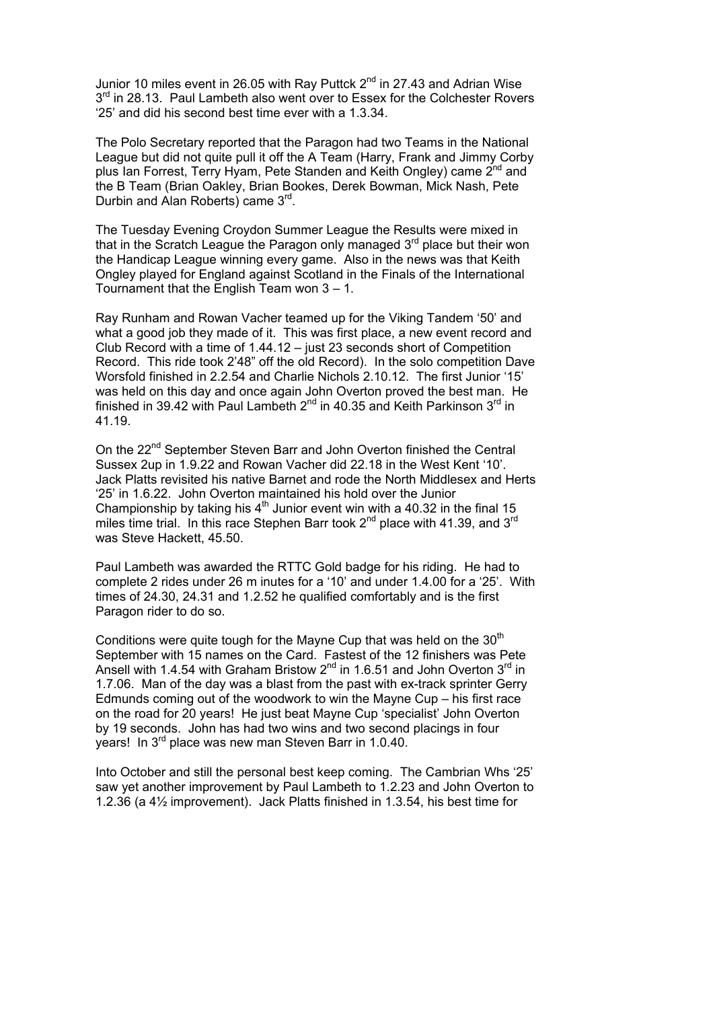Junior 10 miles event in 26.05 with Ray Puttck  $2<sup>nd</sup>$  in 27.43 and Adrian Wise 3<sup>rd</sup> in 28.13. Paul Lambeth also went over to Essex for the Colchester Rovers '25' and did his second best time ever with a 1.3.34.

The Polo Secretary reported that the Paragon had two Teams in the National League but did not quite pull it off the A Team (Harry, Frank and Jimmy Corby plus Ian Forrest, Terry Hyam, Pete Standen and Keith Ongley) came 2<sup>nd</sup> and the B Team (Brian Oakley, Brian Bookes, Derek Bowman, Mick Nash, Pete Durbin and Alan Roberts) came 3rd.

The Tuesday Evening Croydon Summer League the Results were mixed in that in the Scratch League the Paragon only managed  $3<sup>rd</sup>$  place but their won the Handicap League winning every game. Also in the news was that Keith Ongley played for England against Scotland in the Finals of the International Tournament that the English Team won 3 – 1.

Ray Runham and Rowan Vacher teamed up for the Viking Tandem '50' and what a good job they made of it. This was first place, a new event record and Club Record with a time of 1.44.12 – just 23 seconds short of Competition Record. This ride took 2'48" off the old Record). In the solo competition Dave Worsfold finished in 2.2.54 and Charlie Nichols 2.10.12. The first Junior '15' was held on this day and once again John Overton proved the best man. He finished in 39.42 with Paul Lambeth  $2^{nd}$  in 40.35 and Keith Parkinson  $3^{rd}$  in 41.19.

On the 22<sup>nd</sup> September Steven Barr and John Overton finished the Central Sussex 2up in 1.9.22 and Rowan Vacher did 22.18 in the West Kent '10'. Jack Platts revisited his native Barnet and rode the North Middlesex and Herts '25' in 1.6.22. John Overton maintained his hold over the Junior Championship by taking his  $4<sup>th</sup>$  Junior event win with a 40.32 in the final 15 miles time trial. In this race Stephen Barr took  $2^{nd}$  place with 41.39, and  $3^{rd}$ was Steve Hackett, 45.50.

Paul Lambeth was awarded the RTTC Gold badge for his riding. He had to complete 2 rides under 26 m inutes for a '10' and under 1.4.00 for a '25'. With times of 24.30, 24.31 and 1.2.52 he qualified comfortably and is the first Paragon rider to do so.

Conditions were quite tough for the Mayne Cup that was held on the  $30<sup>th</sup>$ September with 15 names on the Card. Fastest of the 12 finishers was Pete Ansell with 1.4.54 with Graham Bristow  $2^{nd}$  in 1.6.51 and John Overton  $3^{rd}$  in 1.7.06. Man of the day was a blast from the past with ex-track sprinter Gerry Edmunds coming out of the woodwork to win the Mayne Cup – his first race on the road for 20 years! He just beat Mayne Cup 'specialist' John Overton by 19 seconds. John has had two wins and two second placings in four years! In 3rd place was new man Steven Barr in 1.0.40.

Into October and still the personal best keep coming. The Cambrian Whs '25' saw yet another improvement by Paul Lambeth to 1.2.23 and John Overton to 1.2.36 (a 4½ improvement). Jack Platts finished in 1.3.54, his best time for